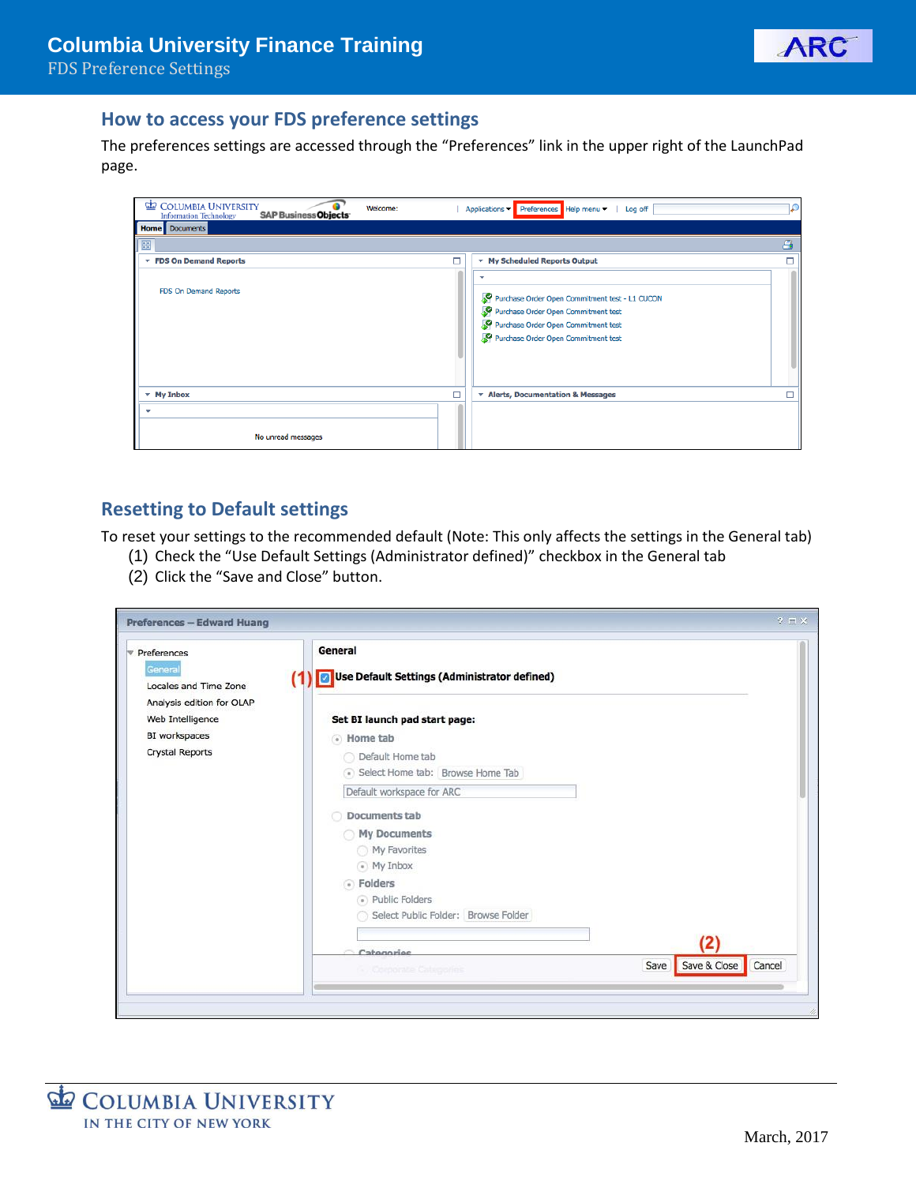

#### **How to access your FDS preference settings**

The preferences settings are accessed through the "Preferences" link in the upper right of the LaunchPad page.

| GI D<br><b>COLUMBIA UNIVERSITY</b><br>Welcome:<br><b>SAP Business Objects</b><br><b>Information Technology</b> | Applications Preferences Help menu<br>Log off                                                                                                                            |
|----------------------------------------------------------------------------------------------------------------|--------------------------------------------------------------------------------------------------------------------------------------------------------------------------|
| <b>Home</b> Documents                                                                                          |                                                                                                                                                                          |
| 噩                                                                                                              | д                                                                                                                                                                        |
| The FDS On Demand Reports                                                                                      | $\Box$<br>* My Scheduled Reports Output                                                                                                                                  |
| FDS On Demand Reports                                                                                          | ٠<br>Purchase Order Open Commitment test - L1 CUCON<br>Purchase Order Open Commitment test<br>Purchase Order Open Commitment test<br>Purchase Order Open Commitment test |
| $-$ My Inbox                                                                                                   | п<br>* Alerts, Documentation & Messages                                                                                                                                  |
| v<br>No unread messages                                                                                        |                                                                                                                                                                          |

# **Resetting to Default settings**

To reset your settings to the recommended default (Note: This only affects the settings in the General tab)

- (1) Check the "Use Default Settings (Administrator defined)" checkbox in the General tab
- (2) Click the "Save and Close" button.

| $\triangledown$ Preferences      | General                                           |                                |
|----------------------------------|---------------------------------------------------|--------------------------------|
| General<br>Locales and Time Zone | Use Default Settings (Administrator defined)<br>⊡ |                                |
| Analysis edition for OLAP        |                                                   |                                |
| Web Intelligence                 | Set BI launch pad start page:                     |                                |
| BI workspaces                    | A Home tab                                        |                                |
| <b>Crystal Reports</b>           | Default Home tab                                  |                                |
|                                  | Select Home tab: Browse Home Tab                  |                                |
|                                  | Default workspace for ARC                         |                                |
|                                  | <b>Documents tab</b>                              |                                |
|                                  | My Documents                                      |                                |
|                                  | My Favorites                                      |                                |
|                                  | • My Inbox                                        |                                |
|                                  | · Folders                                         |                                |
|                                  | • Public Folders                                  |                                |
|                                  | Select Public Folder: Browse Folder               |                                |
|                                  |                                                   | (2)                            |
|                                  | Categories                                        |                                |
|                                  | <b>Corporate Calegories</b>                       | Save & Close<br>Cancel<br>Save |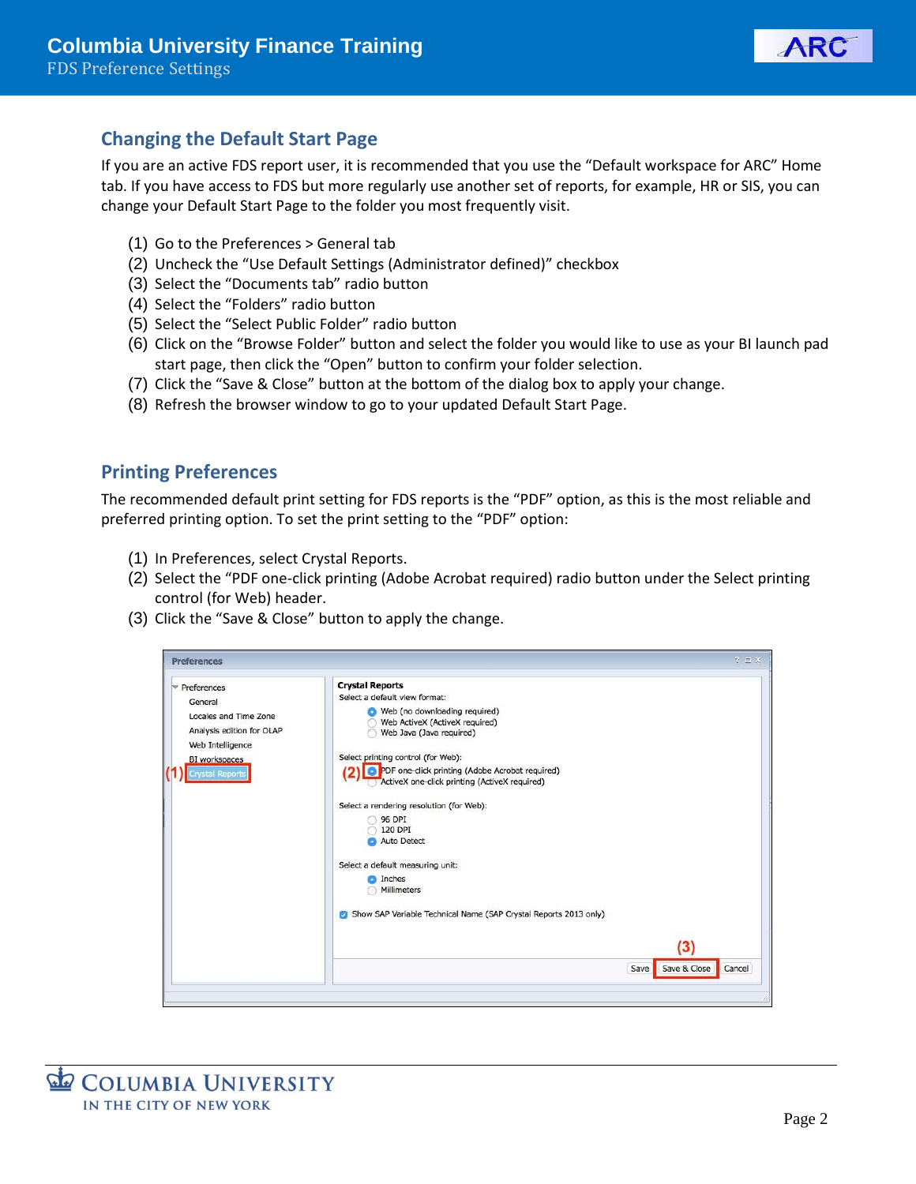

# **Changing the Default Start Page**

If you are an active FDS report user, it is recommended that you use the "Default workspace for ARC" Home tab. If you have access to FDS but more regularly use another set of reports, for example, HR or SIS, you can change your Default Start Page to the folder you most frequently visit.

- (1) Go to the Preferences > General tab
- (2) Uncheck the "Use Default Settings (Administrator defined)" checkbox
- (3) Select the "Documents tab" radio button
- (4) Select the "Folders" radio button
- (5) Select the "Select Public Folder" radio button
- (6) Click on the "Browse Folder" button and select the folder you would like to use as your BI launch pad start page, then click the "Open" button to confirm your folder selection.
- (7) Click the "Save & Close" button at the bottom of the dialog box to apply your change.
- (8) Refresh the browser window to go to your updated Default Start Page.

#### **Printing Preferences**

The recommended default print setting for FDS reports is the "PDF" option, as this is the most reliable and preferred printing option. To set the print setting to the "PDF" option:

- (1) In Preferences, select Crystal Reports.
- (2) Select the "PDF one-click printing (Adobe Acrobat required) radio button under the Select printing control (for Web) header.
- (3) Click the "Save & Close" button to apply the change.

| <b>Crystal Reports</b><br>Preferences<br>Select a default view format:<br>General<br>Web (no downloading required)<br>Locales and Time Zone<br>Web ActiveX (ActiveX required)<br>Analysis edition for OLAP<br>Web Java (Java required)<br>Web Intelligence<br>Select printing control (for Web):<br>BI workspaces<br><b>O</b> PDF one-click printing (Adobe Acrobat required)<br>Crystal Reports<br>ActiveX one-click printing (ActiveX required)<br>Select a rendering resolution (for Web):<br><b>96 DPI</b><br>120 DPI<br><b>Auto Detect</b><br>Select a default measuring unit:<br><b>O</b> Inches<br>Millimeters<br>Show SAP Variable Technical Name (SAP Crystal Reports 2013 only)<br>(3) | <b>Preferences</b> |  | 2E |
|--------------------------------------------------------------------------------------------------------------------------------------------------------------------------------------------------------------------------------------------------------------------------------------------------------------------------------------------------------------------------------------------------------------------------------------------------------------------------------------------------------------------------------------------------------------------------------------------------------------------------------------------------------------------------------------------------|--------------------|--|----|
|                                                                                                                                                                                                                                                                                                                                                                                                                                                                                                                                                                                                                                                                                                  |                    |  |    |
| Save & Close<br>Cancel<br>Save                                                                                                                                                                                                                                                                                                                                                                                                                                                                                                                                                                                                                                                                   |                    |  |    |